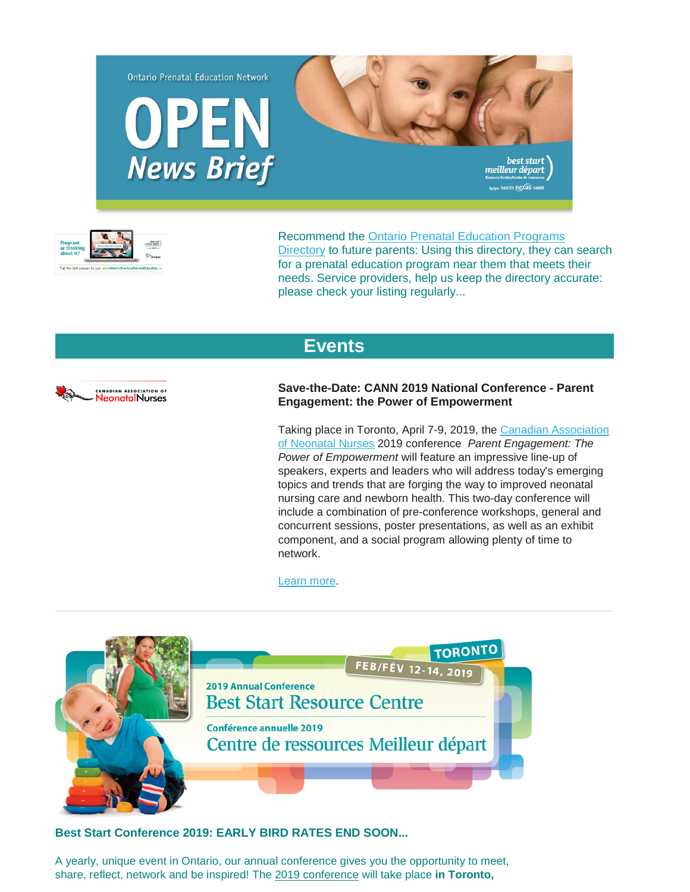



Recommend the [Ontario Prenatal Education Programs](http://ontariodirectoryprenataleducation.ca/)  [Directory](http://ontariodirectoryprenataleducation.ca/) to future parents: Using this directory, they can search for a prenatal education program near them that meets their needs. Service providers, help us keep the directory accurate: please check your listing regularly...

## **[Events](http://)**



**Save-the-Date: CANN 2019 National Conference - Parent Engagement: the Power of Empowerment**

Taking place in Toronto, April 7-9, 2019, the [Canadian Association](http://www.neonatalcann.ca/home.aspx)  [of Neonatal Nurses](http://www.neonatalcann.ca/home.aspx) 2019 conference *Parent Engagement: The Power of Empowerment* will feature an impressive line-up of speakers, experts and leaders who will address today's emerging topics and trends that are forging the way to improved neonatal nursing care and newborn health. This two-day conference will include a combination of pre-conference workshops, general and concurrent sessions, poster presentations, as well as an exhibit component, and a social program allowing plenty of time to network.

[Learn more.](http://www.neonatalcann.ca/SitePages/EventDetails.aspx?itmID=46)



## **Best Start Conference 2019: EARLY BIRD RATES END SOON...**

A yearly, unique event in Ontario, our annual conference gives you the opportunity to meet, share, reflect, network and be inspired! The [2019 conference](http://en.beststart.org/2019-conference) will take place **in Toronto,**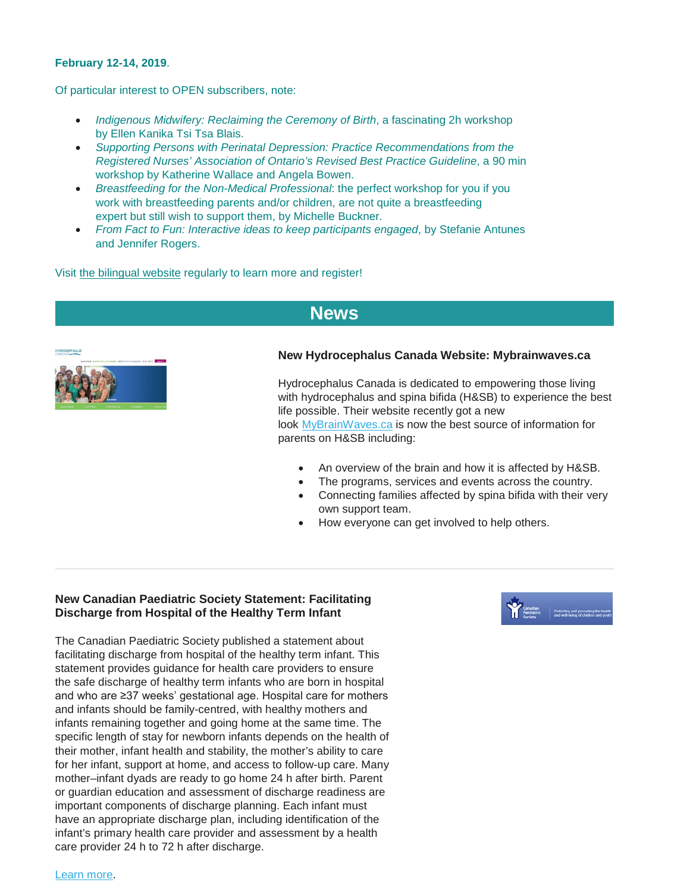#### **February 12-14, 2019**.

Of particular interest to OPEN subscribers, note:

- *Indigenous Midwifery: Reclaiming the Ceremony of Birth*, a fascinating 2h workshop by Ellen Kanika Tsi Tsa Blais.
- *Supporting Persons with Perinatal Depression: Practice Recommendations from the Registered Nurses' Association of Ontario's Revised Best Practice Guideline*, a 90 min workshop by Katherine Wallace and Angela Bowen.
- *Breastfeeding for the Non-Medical Professional*: the perfect workshop for you if you work with breastfeeding parents and/or children, are not quite a breastfeeding expert but still wish to support them, by Michelle Buckner.
- *From Fact to Fun: Interactive ideas to keep participants engaged*, by Stefanie Antunes and Jennifer Rogers.

Visit [the bilingual website](http://en.beststart.org/2019-Conference) regularly to learn more and register!

# **[News](http://)**



#### **New Hydrocephalus Canada Website: Mybrainwaves.ca**

Hydrocephalus Canada is dedicated to empowering those living with hydrocephalus and spina bifida (H&SB) to experience the best life possible. Their website recently got a new look [MyBrainWaves.ca](http://r20.rs6.net/tn.jsp?f=001DxmY7biBxVSUCB5gNZ7oMPy_uiGy9csaylavL4ybqsS2iddmUBxDWTbGahtDq06eJQSnbKbvXGR6JD9rOz8kQiqThTfVG9D7h6zKAUWztnTi1QLUImriFW0om1o0DIz9nFew9oueTTOGHI3tKIiDAw==&c=tUVsbF0_Kgjj_wmTIrhwEYdKq3OAeU8WLTwhi9mCbYfu9DyqDKDvBg==&ch=onkx19xr5l4deDAII2I7u4qBmOasgaBLeArKp291DY_iPRlC6GXTmA==) is now the best source of information for parents on H&SB including:

- An overview of the brain and how it is affected by H&SB.
- The programs, services and events across the country.
- Connecting families affected by spina bifida with their very own support team.
- How everyone can get involved to help others.

## **New Canadian Paediatric Society Statement: Facilitating Discharge from Hospital of the Healthy Term Infant**

The Canadian Paediatric Society published a statement about facilitating discharge from hospital of the healthy term infant. This statement provides guidance for health care providers to ensure the safe discharge of healthy term infants who are born in hospital and who are ≥37 weeks' gestational age. Hospital care for mothers and infants should be family-centred, with healthy mothers and infants remaining together and going home at the same time. The specific length of stay for newborn infants depends on the health of their mother, infant health and stability, the mother's ability to care for her infant, support at home, and access to follow-up care. Many mother–infant dyads are ready to go home 24 h after birth. Parent or guardian education and assessment of discharge readiness are important components of discharge planning. Each infant must have an appropriate discharge plan, including identification of the infant's primary health care provider and assessment by a health care provider 24 h to 72 h after discharge.

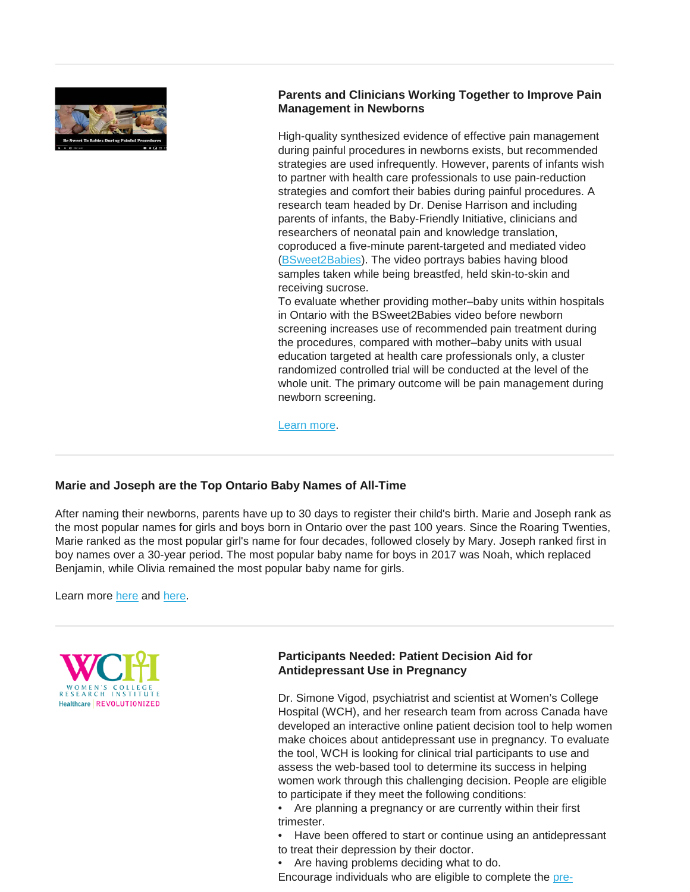

## **Parents and Clinicians Working Together to Improve Pain Management in Newborns**

High-quality synthesized evidence of effective pain management during painful procedures in newborns exists, but recommended strategies are used infrequently. However, parents of infants wish to partner with health care professionals to use pain-reduction strategies and comfort their babies during painful procedures. A research team headed by Dr. Denise Harrison and including parents of infants, the Baby-Friendly Initiative, clinicians and researchers of neonatal pain and knowledge translation, coproduced a five-minute parent-targeted and mediated video [\(BSweet2Babies\)](https://cmnrp.us11.list-manage.com/track/click?u=8a441ace1e52ae6e4762ed865&id=d4b5d5f9d8&e=34dfa22874). The video portrays babies having blood samples taken while being breastfed, held skin-to-skin and receiving sucrose.

To evaluate whether providing mother–baby units within hospitals in Ontario with the BSweet2Babies video before newborn screening increases use of recommended pain treatment during the procedures, compared with mother–baby units with usual education targeted at health care professionals only, a cluster randomized controlled trial will be conducted at the level of the whole unit. The primary outcome will be pain management during newborn screening.

[Learn more.](http://www.cmaj.ca/content/190/supplement/S26)

## **Marie and Joseph are the Top Ontario Baby Names of All-Time**

After naming their newborns, parents have up to 30 days to register their child's birth. Marie and Joseph rank as the most popular names for girls and boys born in Ontario over the past 100 years. Since the Roaring Twenties, Marie ranked as the most popular girl's name for four decades, followed closely by Mary. Joseph ranked first in boy names over a 30-year period. The most popular baby name for boys in 2017 was Noah, which replaced Benjamin, while Olivia remained the most popular baby name for girls.

Learn more [here](http://s3.amazonaws.com/files.news.ontario.ca/mgs/en/learnmore/ontario_celebrates_a_century_of_baby_names/Backgrounder-BabyNames%20FINAL_ENG.doc) and [here.](http://s3.amazonaws.com/files.news.ontario.ca/mgs/en/learnmore/ontario_celebrates_a_century_of_baby_names/Backgrounder-BabyNames%20Regions_Cities%202017_FINAL_ENG.docx)



## **Participants Needed: Patient Decision Aid for Antidepressant Use in Pregnancy**

Dr. Simone Vigod, psychiatrist and scientist at Women's College Hospital (WCH), and her research team from across Canada have developed an interactive online patient decision tool to help women make choices about antidepressant use in pregnancy. To evaluate the tool, WCH is looking for clinical trial participants to use and assess the web-based tool to determine its success in helping women work through this challenging decision. People are eligible to participate if they meet the following conditions:

• Are planning a pregnancy or are currently within their first trimester.

• Have been offered to start or continue using an antidepressant to treat their depression by their doctor.

• Are having problems deciding what to do.

Encourage individuals who are eligible to complete the [pre-](http://www.surveymonkey.com/r/BKN7ZLY)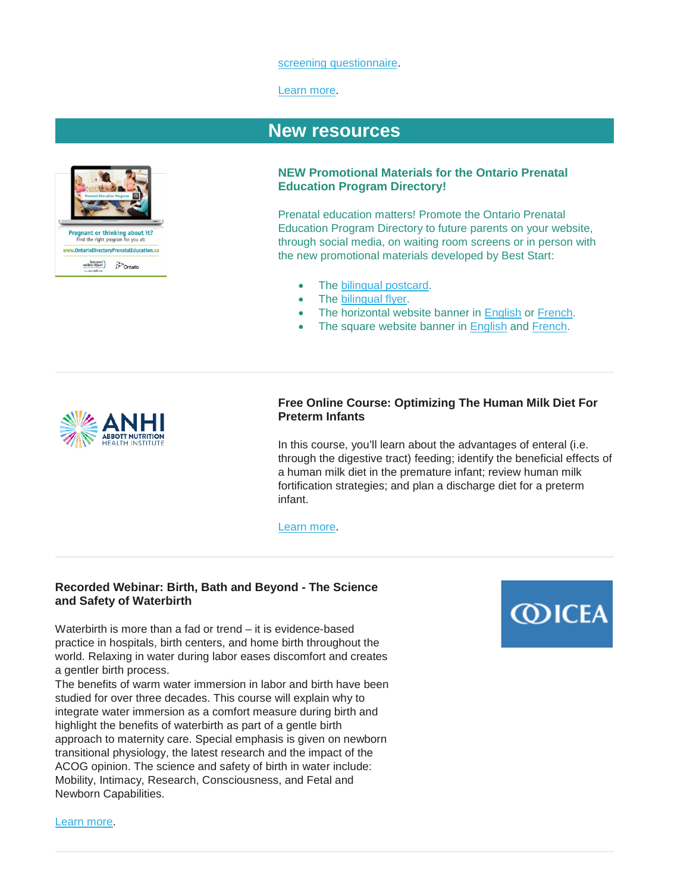#### [screening questionnaire.](http://www.surveymonkey.com/r/BKN7ZLY)

#### [Learn more.](https://www.womensresearch.ca/our-research/mental-health/PDA-for-antidepressant-use-in-pregnancy)



# **[New resources](http://)**

#### **NEW Promotional Materials for the Ontario Prenatal Education Program Directory!**

Prenatal education matters! Promote the Ontario Prenatal Education Program Directory to future parents on your website, through social media, on waiting room screens or in person with the new promotional materials developed by Best Start:

- The [bilingual postcard.](https://www.beststart.org/resources/rep_health/pdf/E44-B_PrenatalEdDirectory_Postcard.pdf)
- The [bilingual flyer.](https://www.beststart.org/resources/rep_health/pdf/E45-B_prenatalEdDirectory_flyer.pdf)
- The horizontal website banner in [English](https://www.beststart.org/resources/rep_health/pdf/E46-E3.jpg) or [French.](https://www.beststart.org/resources/rep_health/pdf/E46-F3.jpg)
- The square website banner in [English](https://www.beststart.org/resources/rep_health/pdf/E46-E2.jpg) and [French.](https://www.beststart.org/resources/rep_health/pdf/E46-F2.jpg)



### **Free Online Course: Optimizing The Human Milk Diet For Preterm Infants**

In this course, you'll learn about the advantages of enteral (i.e. through the digestive tract) feeding; identify the beneficial effects of a human milk diet in the premature infant; review human milk fortification strategies; and plan a discharge diet for a preterm infant.

[Learn more.](https://anhi.org/education/course-catalog/DC11D716DA2840A29C9C7E4A62DFF5CD)

## **Recorded Webinar: Birth, Bath and Beyond - The Science and Safety of Waterbirth**

Waterbirth is more than a fad or trend – it is evidence-based practice in hospitals, birth centers, and home birth throughout the world. Relaxing in water during labor eases discomfort and creates a gentler birth process.

The benefits of warm water immersion in labor and birth have been studied for over three decades. This course will explain why to integrate water immersion as a comfort measure during birth and highlight the benefits of waterbirth as part of a gentle birth approach to maternity care. Special emphasis is given on newborn transitional physiology, the latest research and the impact of the ACOG opinion. The science and safety of birth in water include: Mobility, Intimacy, Research, Consciousness, and Fetal and Newborn Capabilities.



[Learn more.](https://www.vconferenceonline.com/microsite/html/event.aspx?id=1317)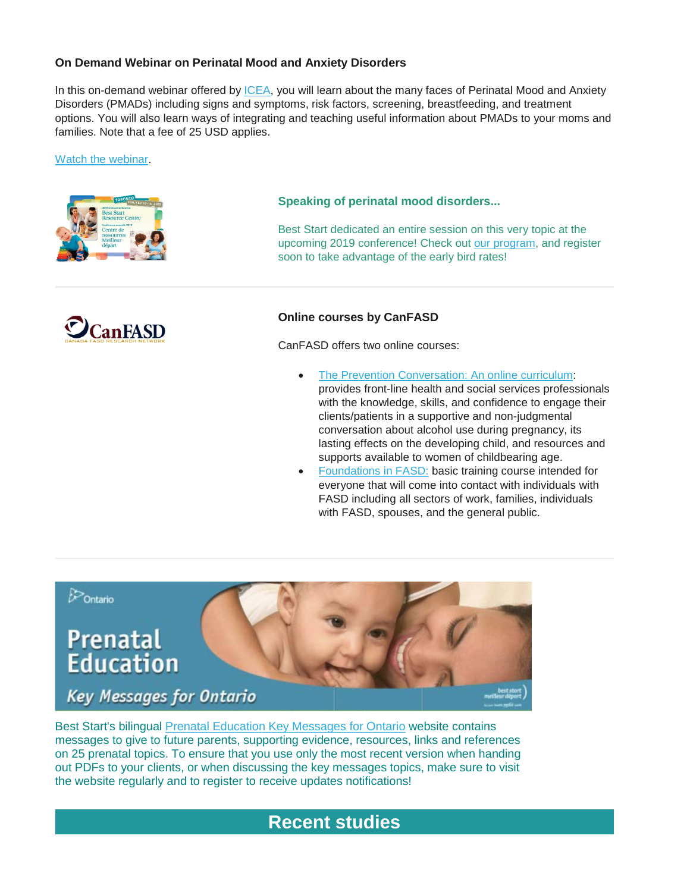## **On Demand Webinar on Perinatal Mood and Anxiety Disorders**

In this on-demand webinar offered by [ICEA,](https://icea.org/) you will learn about the many faces of Perinatal Mood and Anxiety Disorders (PMADs) including signs and symptoms, risk factors, screening, breastfeeding, and treatment options. You will also learn ways of integrating and teaching useful information about PMADs to your moms and families. Note that a fee of 25 USD applies.

[Watch the webinar.](https://icea.org/perinatal-mood-and-anxiety-disorders-an-overview/)





#### **Speaking of perinatal mood disorders...**

Best Start dedicated an entire session on this very topic at the upcoming 2019 conference! Check out [our program,](https://en.beststart.org/2019-Conference/program) and register soon to take advantage of the early bird rates!

#### **Online courses by CanFASD**

CanFASD offers two online courses:

- [The Prevention Conversation: An online curriculum:](https://estore.canfasd.ca/prevention-conversation) provides front-line health and social services professionals with the knowledge, skills, and confidence to engage their clients/patients in a supportive and non-judgmental conversation about alcohol use during pregnancy, its lasting effects on the developing child, and resources and supports available to women of childbearing age.
- [Foundations in FASD:](https://estore.canfasd.ca/foundations-in-fasd) basic training course intended for everyone that will come into contact with individuals with FASD including all sectors of work, families, individuals with FASD, spouses, and the general public.



Best Start's bilingual [Prenatal Education Key Messages for Ontario](http://www.ontarioprenataleducation.ca/) website contains messages to give to future parents, supporting evidence, resources, links and references on 25 prenatal topics. To ensure that you use only the most recent version when handing out PDFs to your clients, or when discussing the key messages topics, make sure to visit the website regularly and to register to receive updates notifications!

# **[Recent studies](http://)**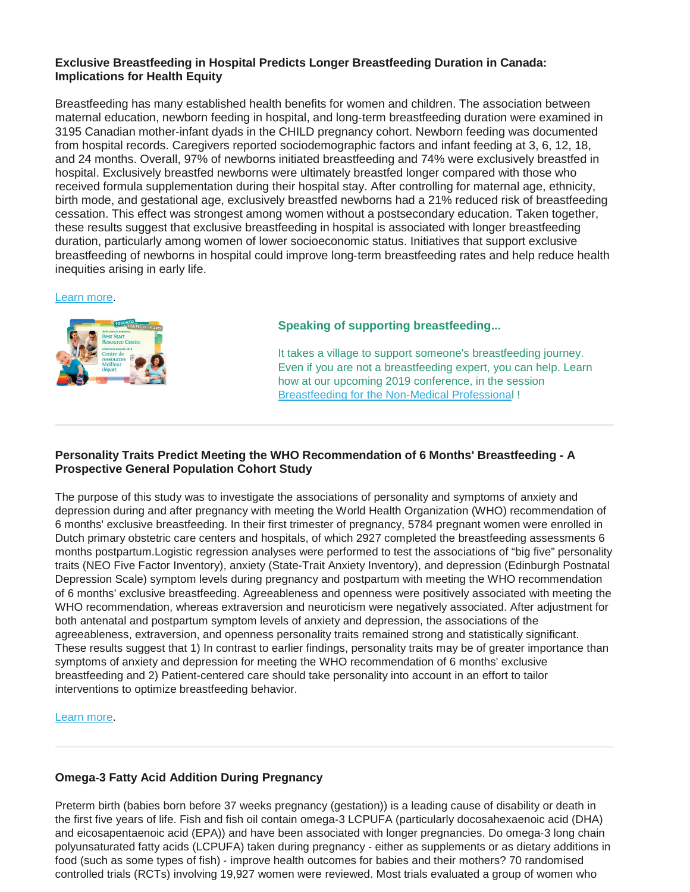## **Exclusive Breastfeeding in Hospital Predicts Longer Breastfeeding Duration in Canada: Implications for Health Equity**

Breastfeeding has many established health benefits for women and children. The association between maternal education, newborn feeding in hospital, and long‐term breastfeeding duration were examined in 3195 Canadian mother‐infant dyads in the CHILD pregnancy cohort. Newborn feeding was documented from hospital records. Caregivers reported sociodemographic factors and infant feeding at 3, 6, 12, 18, and 24 months. Overall, 97% of newborns initiated breastfeeding and 74% were exclusively breastfed in hospital. Exclusively breastfed newborns were ultimately breastfed longer compared with those who received formula supplementation during their hospital stay. After controlling for maternal age, ethnicity, birth mode, and gestational age, exclusively breastfed newborns had a 21% reduced risk of breastfeeding cessation. This effect was strongest among women without a postsecondary education. Taken together, these results suggest that exclusive breastfeeding in hospital is associated with longer breastfeeding duration, particularly among women of lower socioeconomic status. Initiatives that support exclusive breastfeeding of newborns in hospital could improve long‐term breastfeeding rates and help reduce health inequities arising in early life.

#### [Learn more.](http://childstudy.ca/wp-content/uploads/2018/03/Vehling_et_al-2018-Birth.pdf)



## **Speaking of supporting breastfeeding...**

It takes a village to support someone's breastfeeding journey. Even if you are not a breastfeeding expert, you can help. Learn how at our upcoming 2019 conference, in the session [Breastfeeding for the Non-Medical Professional](https://en.beststart.org/2019-Conference/program#A2) !

## **Personality Traits Predict Meeting the WHO Recommendation of 6 Months' Breastfeeding - A Prospective General Population Cohort Study**

The purpose of this study was to investigate the associations of personality and symptoms of anxiety and depression during and after pregnancy with meeting the World Health Organization (WHO) recommendation of 6 months' exclusive breastfeeding. In their first trimester of pregnancy, 5784 pregnant women were enrolled in Dutch primary obstetric care centers and hospitals, of which 2927 completed the breastfeeding assessments 6 months postpartum.Logistic regression analyses were performed to test the associations of "big five" personality traits (NEO Five Factor Inventory), anxiety (State-Trait Anxiety Inventory), and depression (Edinburgh Postnatal Depression Scale) symptom levels during pregnancy and postpartum with meeting the WHO recommendation of 6 months' exclusive breastfeeding. Agreeableness and openness were positively associated with meeting the WHO recommendation, whereas extraversion and neuroticism were negatively associated. After adjustment for both antenatal and postpartum symptom levels of anxiety and depression, the associations of the agreeableness, extraversion, and openness personality traits remained strong and statistically significant. These results suggest that 1) In contrast to earlier findings, personality traits may be of greater importance than symptoms of anxiety and depression for meeting the WHO recommendation of 6 months' exclusive breastfeeding and 2) Patient-centered care should take personality into account in an effort to tailor interventions to optimize breastfeeding behavior.

#### [Learn more.](https://journals.lww.com/advancesinneonatalcare/Abstract/publishahead/Personality_Traits_Predict_Meeting_the_WHO.99769.aspx)

## **Omega**‐**3 Fatty Acid Addition During Pregnancy**

Preterm birth (babies born before 37 weeks pregnancy (gestation)) is a leading cause of disability or death in the first five years of life. Fish and fish oil contain omega‐3 LCPUFA (particularly docosahexaenoic acid (DHA) and eicosapentaenoic acid (EPA)) and have been associated with longer pregnancies. Do omega‐3 long chain polyunsaturated fatty acids (LCPUFA) taken during pregnancy ‐ either as supplements or as dietary additions in food (such as some types of fish) ‐ improve health outcomes for babies and their mothers? 70 randomised controlled trials (RCTs) involving 19,927 women were reviewed. Most trials evaluated a group of women who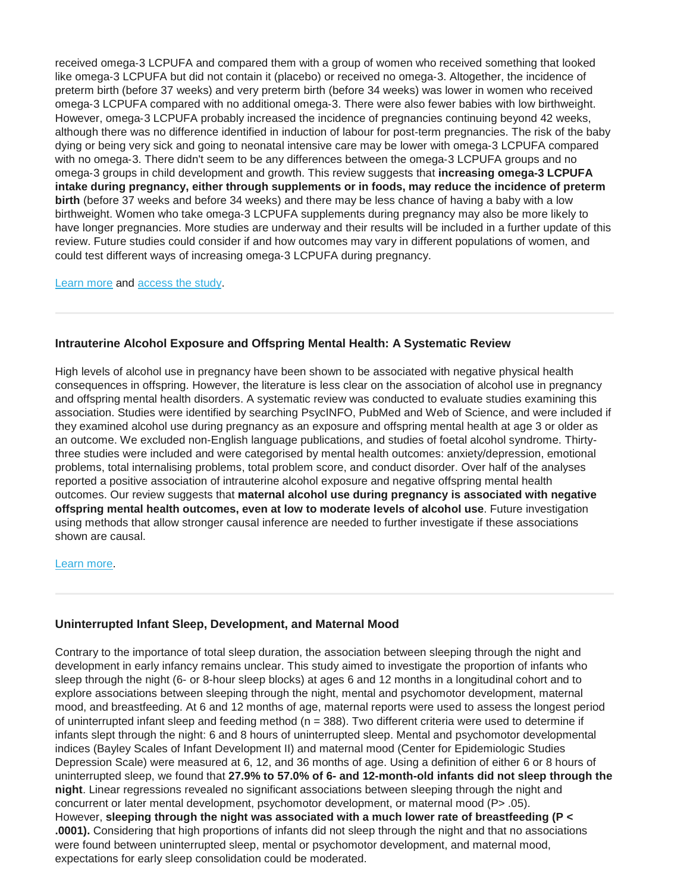received omega‐3 LCPUFA and compared them with a group of women who received something that looked like omega‐3 LCPUFA but did not contain it (placebo) or received no omega‐3. Altogether, the incidence of preterm birth (before 37 weeks) and very preterm birth (before 34 weeks) was lower in women who received omega‐3 LCPUFA compared with no additional omega‐3. There were also fewer babies with low birthweight. However, omega-3 LCPUFA probably increased the incidence of pregnancies continuing beyond 42 weeks, although there was no difference identified in induction of labour for post-term pregnancies. The risk of the baby dying or being very sick and going to neonatal intensive care may be lower with omega‐3 LCPUFA compared with no omega-3. There didn't seem to be any differences between the omega-3 LCPUFA groups and no omega‐3 groups in child development and growth. This review suggests that **increasing omega**‐**3 LCPUFA intake during pregnancy, either through supplements or in foods, may reduce the incidence of preterm birth** (before 37 weeks and before 34 weeks) and there may be less chance of having a baby with a low birthweight. Women who take omega‐3 LCPUFA supplements during pregnancy may also be more likely to have longer pregnancies. More studies are underway and their results will be included in a further update of this review. Future studies could consider if and how outcomes may vary in different populations of women, and could test different ways of increasing omega‐3 LCPUFA during pregnancy.

[Learn more](https://www.nytimes.com/2018/11/19/well/family/omega-3s-fish-oil-preterm-birth-premature-pregnancy.html?rref=collection%2Fsectioncollection%2Fhealth) and [access the study.](https://www.cochranelibrary.com/cdsr/doi/10.1002/14651858.CD003402.pub3/full)

## **Intrauterine Alcohol Exposure and Offspring Mental Health: A Systematic Review**

High levels of alcohol use in pregnancy have been shown to be associated with negative physical health consequences in offspring. However, the literature is less clear on the association of alcohol use in pregnancy and offspring mental health disorders. A systematic review was conducted to evaluate studies examining this association. Studies were identified by searching PsycINFO, PubMed and Web of Science, and were included if they examined alcohol use during pregnancy as an exposure and offspring mental health at age 3 or older as an outcome. We excluded non-English language publications, and studies of foetal alcohol syndrome. Thirtythree studies were included and were categorised by mental health outcomes: anxiety/depression, emotional problems, total internalising problems, total problem score, and conduct disorder. Over half of the analyses reported a positive association of intrauterine alcohol exposure and negative offspring mental health outcomes. Our review suggests that **maternal alcohol use during pregnancy is associated with negative offspring mental health outcomes, even at low to moderate levels of alcohol use**. Future investigation using methods that allow stronger causal inference are needed to further investigate if these associations shown are causal.

#### [Learn more.](https://psyarxiv.com/yk865/)

## **Uninterrupted Infant Sleep, Development, and Maternal Mood**

Contrary to the importance of total sleep duration, the association between sleeping through the night and development in early infancy remains unclear. This study aimed to investigate the proportion of infants who sleep through the night (6- or 8-hour sleep blocks) at ages 6 and 12 months in a longitudinal cohort and to explore associations between sleeping through the night, mental and psychomotor development, maternal mood, and breastfeeding. At 6 and 12 months of age, maternal reports were used to assess the longest period of uninterrupted infant sleep and feeding method ( $n = 388$ ). Two different criteria were used to determine if infants slept through the night: 6 and 8 hours of uninterrupted sleep. Mental and psychomotor developmental indices (Bayley Scales of Infant Development II) and maternal mood (Center for Epidemiologic Studies Depression Scale) were measured at 6, 12, and 36 months of age. Using a definition of either 6 or 8 hours of uninterrupted sleep, we found that **27.9% to 57.0% of 6- and 12-month-old infants did not sleep through the night**. Linear regressions revealed no significant associations between sleeping through the night and concurrent or later mental development, psychomotor development, or maternal mood (P> .05). However, **sleeping through the night was associated with a much lower rate of breastfeeding (P < .0001).** Considering that high proportions of infants did not sleep through the night and that no associations were found between uninterrupted sleep, mental or psychomotor development, and maternal mood, expectations for early sleep consolidation could be moderated.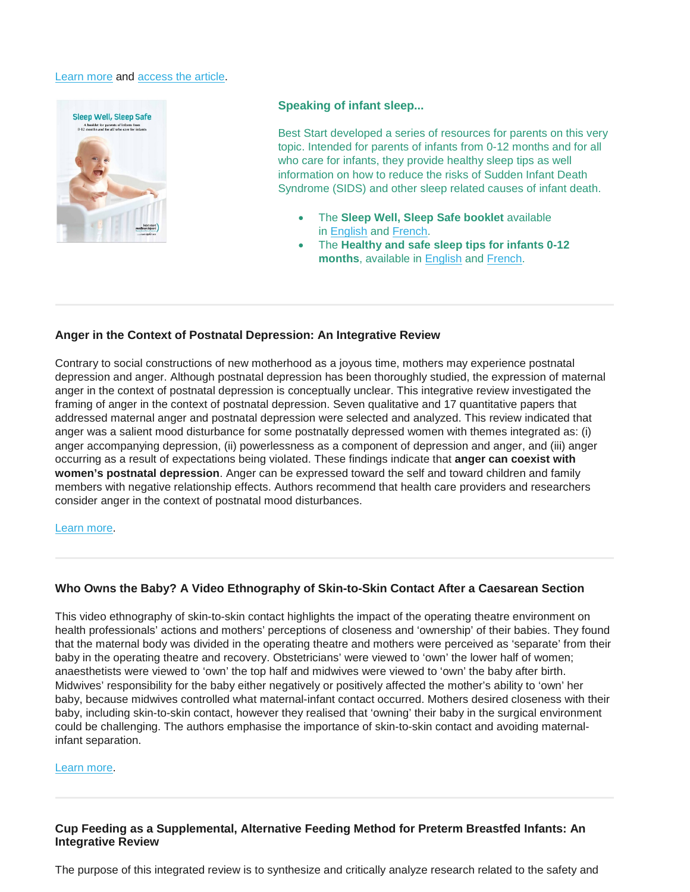#### [Learn more](https://consumer.healthday.com/sleep-disorder-information-33/misc-sleep-problems-news-626/your-6-month-old-isn-t-sleeping-through-the-night-relax-739540.html) and [access the article.](http://pediatrics.aappublications.org/content/early/2018/11/08/peds.2017-4330)



#### **Speaking of infant sleep...**

Best Start developed a series of resources for parents on this very topic. Intended for parents of infants from 0-12 months and for all who care for infants, they provide healthy sleep tips as well information on how to reduce the risks of Sudden Infant Death Syndrome (SIDS) and other sleep related causes of infant death.

- The **Sleep Well, Sleep Safe booklet** available in [English](http://www.beststart.org/resources/hlthy_chld_dev/pdf/BSRC_Sleep_Well_resource_FNL_LR.pdf) and [French.](http://www.meilleurdepart.org/resources/develop_enfants/pdf/BSRC_Sleep_Well_resource_FR_LR.pdf)
- The **Healthy and safe sleep tips for infants 0-12 months**, available in [English](http://en.beststart.org/resources-and-research/healthy-and-safe-sleep-tips-infants-0-12-months) and [French.](http://http/fr.meilleurdepart.org/ressources/conseils-pour-des-habitudes-de-sommeil-saines)

#### **Anger in the Context of Postnatal Depression: An Integrative Review**

Contrary to social constructions of new motherhood as a joyous time, mothers may experience postnatal depression and anger. Although postnatal depression has been thoroughly studied, the expression of maternal anger in the context of postnatal depression is conceptually unclear. This integrative review investigated the framing of anger in the context of postnatal depression. Seven qualitative and 17 quantitative papers that addressed maternal anger and postnatal depression were selected and analyzed. This review indicated that anger was a salient mood disturbance for some postnatally depressed women with themes integrated as: (i) anger accompanying depression, (ii) powerlessness as a component of depression and anger, and (iii) anger occurring as a result of expectations being violated. These findings indicate that **anger can coexist with women's postnatal depression**. Anger can be expressed toward the self and toward children and family members with negative relationship effects. Authors recommend that health care providers and researchers consider anger in the context of postnatal mood disturbances.

#### [Learn more.](https://www.ingentaconnect.com/content/bsc/bir/2018/00000045/00000004/art00002)

## **Who Owns the Baby? A Video Ethnography of Skin-to-Skin Contact After a Caesarean Section**

This video ethnography of skin-to-skin contact highlights the impact of the operating theatre environment on health professionals' actions and mothers' perceptions of closeness and 'ownership' of their babies. They found that the maternal body was divided in the operating theatre and mothers were perceived as 'separate' from their baby in the operating theatre and recovery. Obstetricians' were viewed to 'own' the lower half of women; anaesthetists were viewed to 'own' the top half and midwives were viewed to 'own' the baby after birth. Midwives' responsibility for the baby either negatively or positively affected the mother's ability to 'own' her baby, because midwives controlled what maternal-infant contact occurred. Mothers desired closeness with their baby, including skin-to-skin contact, however they realised that 'owning' their baby in the surgical environment could be challenging. The authors emphasise the importance of skin-to-skin contact and avoiding maternalinfant separation.

#### [Learn more.](https://www.sciencedirect.com/science/article/pii/S1871519217302408)

#### **Cup Feeding as a Supplemental, Alternative Feeding Method for Preterm Breastfed Infants: An Integrative Review**

The purpose of this integrated review is to synthesize and critically analyze research related to the safety and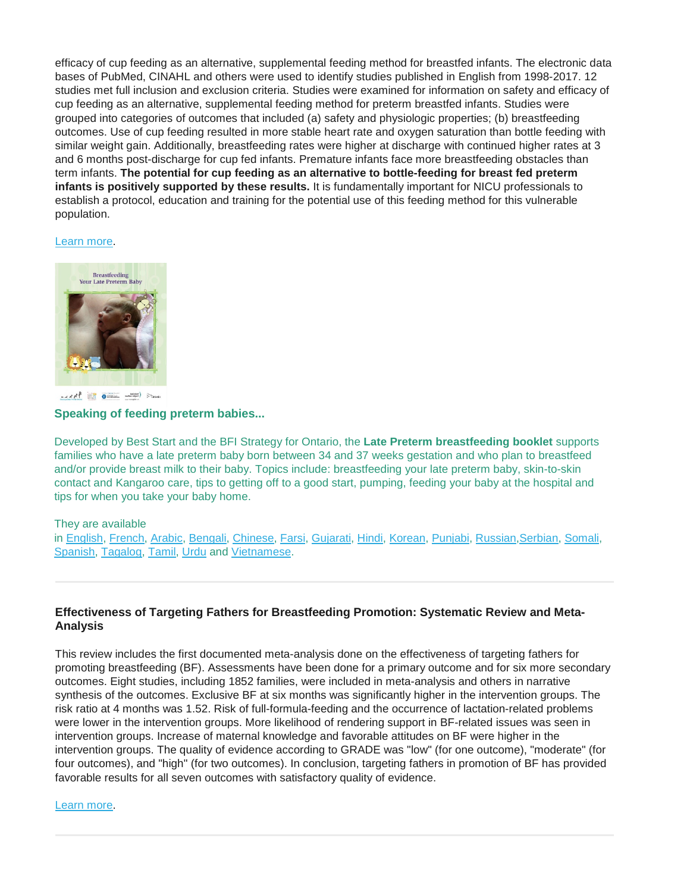efficacy of cup feeding as an alternative, supplemental feeding method for breastfed infants. The electronic data bases of PubMed, CINAHL and others were used to identify studies published in English from 1998-2017. 12 studies met full inclusion and exclusion criteria. Studies were examined for information on safety and efficacy of cup feeding as an alternative, supplemental feeding method for preterm breastfed infants. Studies were grouped into categories of outcomes that included (a) safety and physiologic properties; (b) breastfeeding outcomes. Use of cup feeding resulted in more stable heart rate and oxygen saturation than bottle feeding with similar weight gain. Additionally, breastfeeding rates were higher at discharge with continued higher rates at 3 and 6 months post-discharge for cup fed infants. Premature infants face more breastfeeding obstacles than term infants. **The potential for cup feeding as an alternative to bottle-feeding for breast fed preterm infants is positively supported by these results.** It is fundamentally important for NICU professionals to establish a protocol, education and training for the potential use of this feeding method for this vulnerable population.

#### [Learn more.](https://www.ncbi.nlm.nih.gov/pubmed/30328044)



west in one was so

#### **Speaking of feeding preterm babies...**

Developed by Best Start and the BFI Strategy for Ontario, the **Late Preterm breastfeeding booklet** supports families who have a late preterm baby born between 34 and 37 weeks gestation and who plan to breastfeed and/or provide breast milk to their baby. Topics include: breastfeeding your late preterm baby, skin-to-skin contact and Kangaroo care, tips to getting off to a good start, pumping, feeding your baby at the hospital and tips for when you take your baby home.

#### They are available

in [English,](http://www.beststart.org/resources/breastfeeding/B26E-BreastfeedingYourLatePretermBaby.pdf) [French,](http://www.beststart.org/resources/breastfeeding/B26F-Allaitervotrebebepeupremature.pdf) [Arabic,](http://www.beststart.org/resources/breastfeeding/latepreterm/PretermLateBF_B26-AR.pdf) [Bengali,](http://www.beststart.org/resources/breastfeeding/latepreterm/PretermLateBF_B26-BN.pdf) [Chinese,](http://www.beststart.org/resources/breastfeeding/latepreterm/PretermLateBF_B26-CH.pdf) [Farsi,](http://www.beststart.org/resources/breastfeeding/latepreterm/PretermLateBF_B26-FA.pdf) [Gujarati,](http://www.beststart.org/resources/breastfeeding/latepreterm/PretermLateBF_B26-GU.pdf) [Hindi,](http://www.beststart.org/resources/breastfeeding/latepreterm/PretermLateBF_B26-HI.pdf) [Korean,](http://www.beststart.org/resources/breastfeeding/latepreterm/PretermLateBF_B26-KO.pdf) [Punjabi,](http://www.beststart.org/resources/breastfeeding/latepreterm/PretermLateBF_B26-PU.pdf) [Russian,](http://www.beststart.org/resources/breastfeeding/latepreterm/PretermLateBF_B26-RU.pdf)[Serbian,](http://www.beststart.org/resources/breastfeeding/latepreterm/PretermLateBF_B26-SER.pdf) [Somali,](http://www.beststart.org/resources/breastfeeding/latepreterm/PretermLateBF_B26-SO.pdf) [Spanish,](http://www.beststart.org/resources/breastfeeding/latepreterm/PretermLateBF_B26-SP.pdf) [Tagalog,](http://www.beststart.org/resources/breastfeeding/latepreterm/PretermLateBF_B26-TAG.pdf) [Tamil,](http://www.beststart.org/resources/breastfeeding/latepreterm/PretermLateBF_B26-TAM.pdf) [Urdu](http://www.beststart.org/resources/breastfeeding/latepreterm/PretermLateBF_B26-UR.pdf) and [Vietnamese.](http://www.beststart.org/resources/breastfeeding/latepreterm/PretermLateBF_B26-VI.pdf)

#### **Effectiveness of Targeting Fathers for Breastfeeding Promotion: Systematic Review and Meta-Analysis**

This review includes the first documented meta-analysis done on the effectiveness of targeting fathers for promoting breastfeeding (BF). Assessments have been done for a primary outcome and for six more secondary outcomes. Eight studies, including 1852 families, were included in meta-analysis and others in narrative synthesis of the outcomes. Exclusive BF at six months was significantly higher in the intervention groups. The risk ratio at 4 months was 1.52. Risk of full-formula-feeding and the occurrence of lactation-related problems were lower in the intervention groups. More likelihood of rendering support in BF-related issues was seen in intervention groups. Increase of maternal knowledge and favorable attitudes on BF were higher in the intervention groups. The quality of evidence according to GRADE was "low" (for one outcome), "moderate" (for four outcomes), and "high" (for two outcomes). In conclusion, targeting fathers in promotion of BF has provided favorable results for all seven outcomes with satisfactory quality of evidence.

#### [Learn more.](https://www.healthevidence.org/view-article.aspx?a=effectiveness-targeting-fathers-breastfeeding-promotion-systematic-review-meta-34427)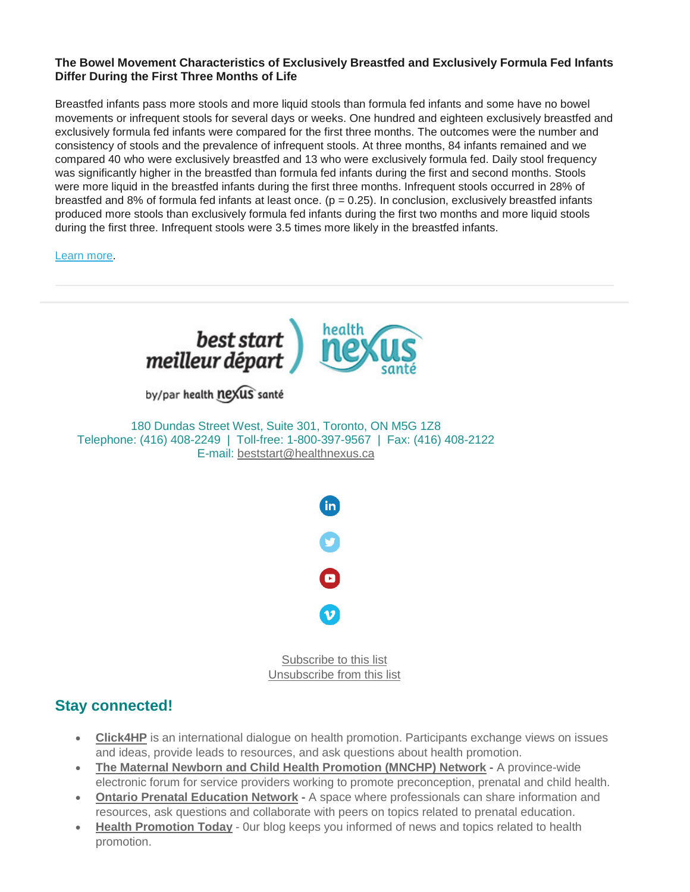## **The Bowel Movement Characteristics of Exclusively Breastfed and Exclusively Formula Fed Infants Differ During the First Three Months of Life**

Breastfed infants pass more stools and more liquid stools than formula fed infants and some have no bowel movements or infrequent stools for several days or weeks. One hundred and eighteen exclusively breastfed and exclusively formula fed infants were compared for the first three months. The outcomes were the number and consistency of stools and the prevalence of infrequent stools. At three months, 84 infants remained and we compared 40 who were exclusively breastfed and 13 who were exclusively formula fed. Daily stool frequency was significantly higher in the breastfed than formula fed infants during the first and second months. Stools were more liquid in the breastfed infants during the first three months. Infrequent stools occurred in 28% of breastfed and 8% of formula fed infants at least once.  $(p = 0.25)$ . In conclusion, exclusively breastfed infants produced more stools than exclusively formula fed infants during the first two months and more liquid stools during the first three. Infrequent stools were 3.5 times more likely in the breastfed infants.

[Learn more.](https://www.ncbi.nlm.nih.gov/pubmed/30402945)



## **Stay connected!**

- **[Click4HP](https://listserv.yorku.ca/archives/click4hp.html)** is an international dialogue on health promotion. Participants exchange views on issues and ideas, provide leads to resources, and ask questions about health promotion.
- **[The Maternal Newborn and Child Health Promotion \(MNCHP\) Network](http://lists.beststart.org/listinfo.cgi/mnchp-beststart.org) -** A province-wide electronic forum for service providers working to promote preconception, prenatal and child health.
- **[Ontario Prenatal Education Network](http://fluidsurveys.com/surveys/ohpe/subscriptionsopen2015-2016/) -** A space where professionals can share information and resources, ask questions and collaborate with peers on topics related to prenatal education.
- **[Health Promotion Today](http://en.healthnexus.ca/)** 0ur blog keeps you informed of news and topics related to health promotion.